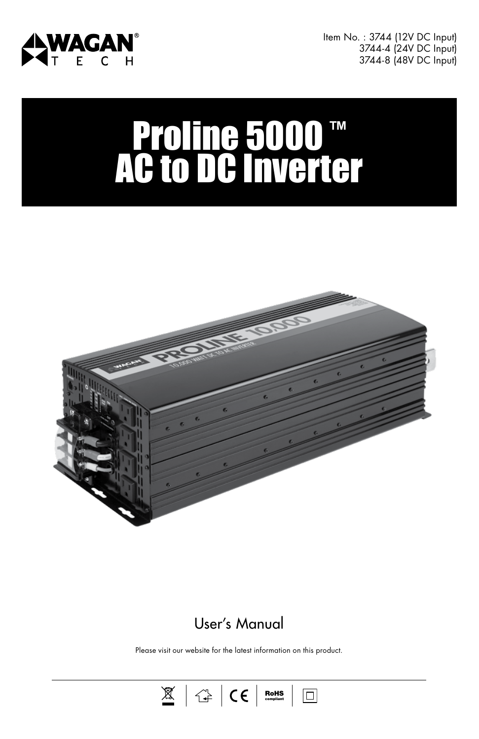

Item No. : 3744 (12V DC Input) 3744-4 (24V DC Input) 3744-8 (48V DC Input)

# Proline 5000™ AC to DC Inverter



# User's Manual

Please visit our website for the latest information on this product.

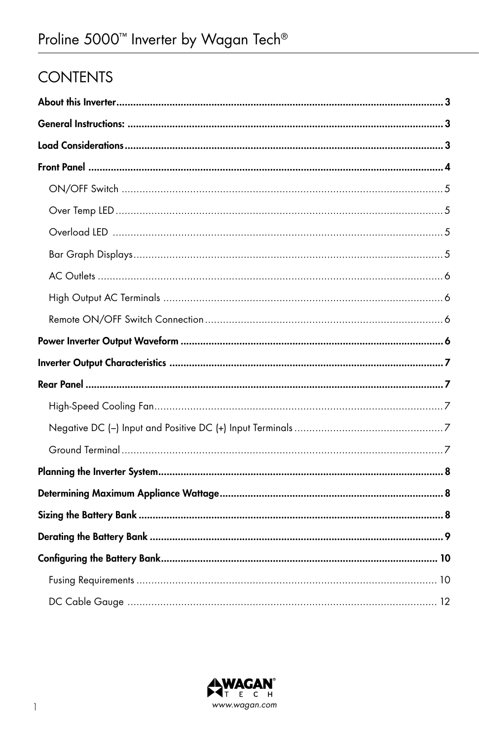# **CONTENTS**

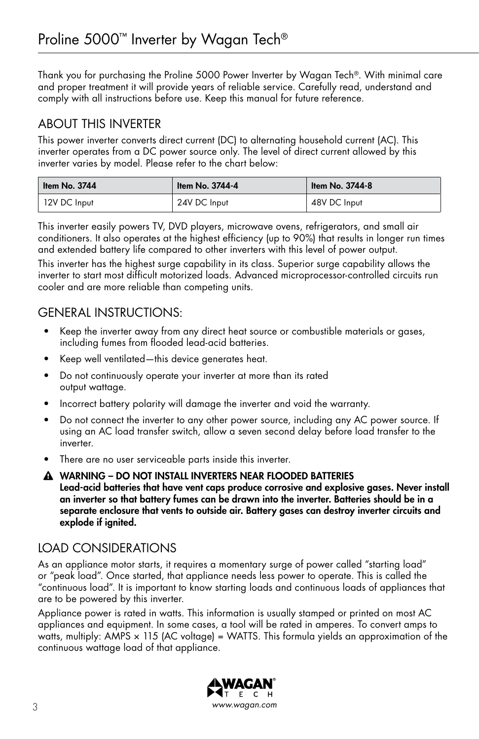Thank you for purchasing the Proline 5000 Power Inverter by Wagan Tech®. With minimal care and proper treatment it will provide years of reliable service. Carefully read, understand and comply with all instructions before use. Keep this manual for future reference.

## ABOUT THIS INVERTER

This power inverter converts direct current (DC) to alternating household current (AC). This inverter operates from a DC power source only. The level of direct current allowed by this inverter varies by model. Please refer to the chart below:

| ∣ I <del>t</del> em No. 3744 | Item No. 3744-4 | Item No. 3744-8 |  |  |  |
|------------------------------|-----------------|-----------------|--|--|--|
| 12V DC Input                 | 24V DC Input    | 48V DC Input    |  |  |  |

This inverter easily powers TV, DVD players, microwave ovens, refrigerators, and small air conditioners. It also operates at the highest efficiency (up to 90%) that results in longer run times and extended battery life compared to other inverters with this level of power output.

This inverter has the highest surge capability in its class. Superior surge capability allows the inverter to start most difficult motorized loads. Advanced microprocessor-controlled circuits run cooler and are more reliable than competing units.

## GENERAL INSTRUCTIONS:

- Keep the inverter away from any direct heat source or combustible materials or gases, including fumes from flooded lead-acid batteries.
- Keep well ventilated—this device generates heat.
- Do not continuously operate your inverter at more than its rated output wattage.
- Incorrect battery polarity will damage the inverter and void the warranty.
- Do not connect the inverter to any other power source, including any AC power source. If using an AC load transfer switch, allow a seven second delay before load transfer to the inverter.
- There are no user serviceable parts inside this inverter.
- A WARNING DO NOT INSTALL INVERTERS NEAR FLOODED BATTERIES Lead-acid batteries that have vent caps produce corrosive and explosive gases. Never install an inverter so that battery fumes can be drawn into the inverter. Batteries should be in a separate enclosure that vents to outside air. Battery gases can destroy inverter circuits and explode if ignited.

## LOAD CONSIDERATIONS

As an appliance motor starts, it requires a momentary surge of power called "starting load" or "peak load". Once started, that appliance needs less power to operate. This is called the "continuous load". It is important to know starting loads and continuous loads of appliances that are to be powered by this inverter.

Appliance power is rated in watts. This information is usually stamped or printed on most AC appliances and equipment. In some cases, a tool will be rated in amperes. To convert amps to watts, multiply: AMPS  $\times$  115 (AC voltage) = WATTS. This formula yields an approximation of the continuous wattage load of that appliance.

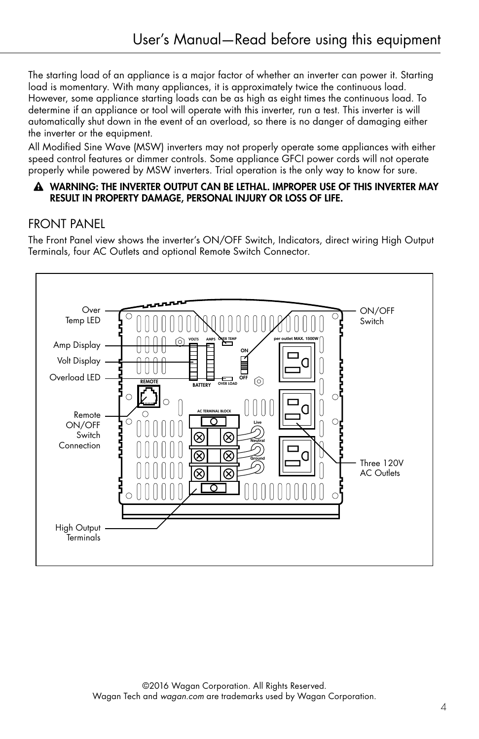The starting load of an appliance is a major factor of whether an inverter can power it. Starting load is momentary. With many appliances, it is approximately twice the continuous load. However, some appliance starting loads can be as high as eight times the continuous load. To determine if an appliance or tool will operate with this inverter, run a test. This inverter is will automatically shut down in the event of an overload, so there is no danger of damaging either the inverter or the equipment.

All Modified Sine Wave (MSW) inverters may not properly operate some appliances with either speed control features or dimmer controls. Some appliance GFCI power cords will not operate properly while powered by MSW inverters. Trial operation is the only way to know for sure.

#### A WARNING: THE INVERTER OUTPUT CAN BE LETHAL. IMPROPER USE OF THIS INVERTER MAY RESULT IN PROPERTY DAMAGE, PERSONAL INJURY OR LOSS OF LIFE.

## FRONT PANEL

The Front Panel view shows the inverter's ON/OFF Switch, Indicators, direct wiring High Output Terminals, four AC Outlets and optional Remote Switch Connector.

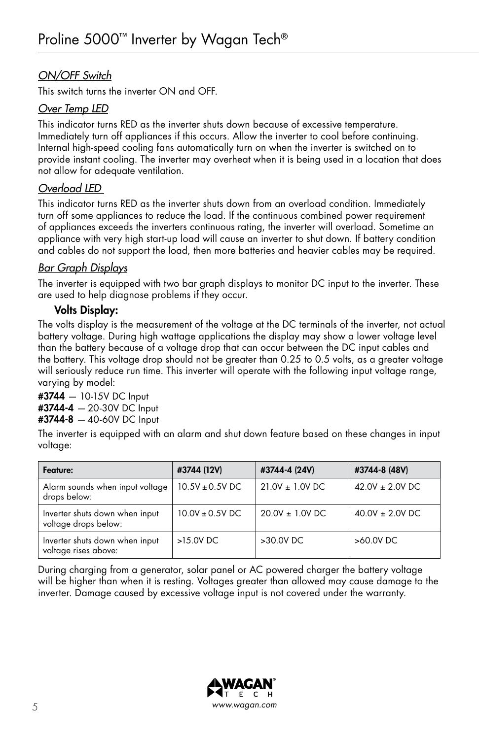## *ON/OFF Switch*

This switch turns the inverter ON and OFF.

#### *Over Temp LED*

This indicator turns RED as the inverter shuts down because of excessive temperature. Immediately turn off appliances if this occurs. Allow the inverter to cool before continuing. Internal high-speed cooling fans automatically turn on when the inverter is switched on to provide instant cooling. The inverter may overheat when it is being used in a location that does not allow for adequate ventilation.

## *Overload LED*

This indicator turns RED as the inverter shuts down from an overload condition. Immediately turn off some appliances to reduce the load. If the continuous combined power requirement of appliances exceeds the inverters continuous rating, the inverter will overload. Sometime an appliance with very high start-up load will cause an inverter to shut down. If battery condition and cables do not support the load, then more batteries and heavier cables may be required.

## *Bar Graph Displays*

The inverter is equipped with two bar graph displays to monitor DC input to the inverter. These are used to help diagnose problems if they occur.

## Volts Display:

The volts display is the measurement of the voltage at the DC terminals of the inverter, not actual battery voltage. During high wattage applications the display may show a lower voltage level than the battery because of a voltage drop that can occur between the DC input cables and the battery. This voltage drop should not be greater than 0.25 to 0.5 volts, as a greater voltage will seriously reduce run time. This inverter will operate with the following input voltage range, varying by model:

#### #3744 *—* 10-15V DC Input #3744-4 *—* 20-30V DC Input #3744-8 *—* 40-60V DC Input

The inverter is equipped with an alarm and shut down feature based on these changes in input voltage:

| Feature:                                               | #3744 (12V)         | #3744-4 (24V)     | #3744-8 (48V)       |  |  |
|--------------------------------------------------------|---------------------|-------------------|---------------------|--|--|
| Alarm sounds when input voltage<br>drops below:        | $10.5V \pm 0.5V$ DC | $21.0V + 1.0V$ DC | $42.0V + 2.0V$ DC   |  |  |
| Inverter shuts down when input<br>voltage drops below: | $10.0V + 0.5V$ DC   | $20.0V + 1.0V$ DC | $40.0V \pm 2.0V$ DC |  |  |
| Inverter shuts down when input<br>voltage rises above: | >15.0V DC           | >30.0V DC         | >60.0V DC           |  |  |

During charging from a generator, solar panel or AC powered charger the battery voltage will be higher than when it is resting. Voltages greater than allowed may cause damage to the inverter. Damage caused by excessive voltage input is not covered under the warranty.

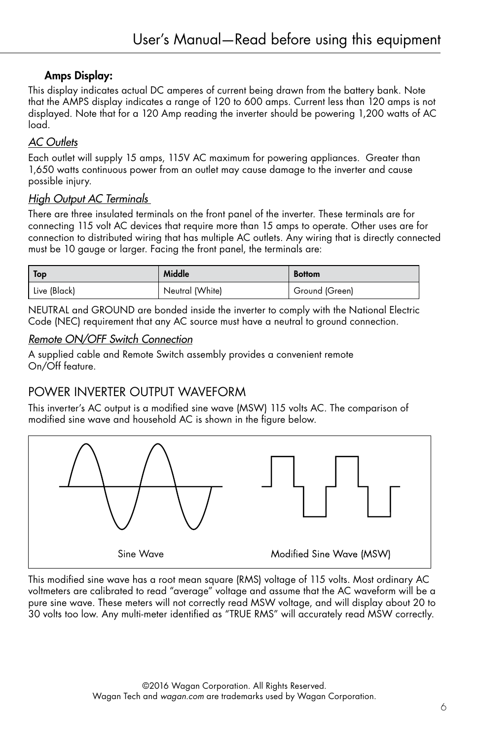## Amps Display:

This display indicates actual DC amperes of current being drawn from the battery bank. Note that the AMPS display indicates a range of 120 to 600 amps. Current less than 120 amps is not displayed. Note that for a 120 Amp reading the inverter should be powering 1,200 watts of AC load.

## *AC Outlets*

Each outlet will supply 15 amps, 115V AC maximum for powering appliances. Greater than 1,650 watts continuous power from an outlet may cause damage to the inverter and cause possible injury.

## *High Output AC Terminals*

There are three insulated terminals on the front panel of the inverter. These terminals are for connecting 115 volt AC devices that require more than 15 amps to operate. Other uses are for connection to distributed wiring that has multiple AC outlets. Any wiring that is directly connected must be 10 gauge or larger. Facing the front panel, the terminals are:

| Top          | Middle          | <b>Bottom</b>  |
|--------------|-----------------|----------------|
| Live (Black) | Neutral (White) | Ground (Green) |

NEUTRAL and GROUND are bonded inside the inverter to comply with the National Electric Code (NEC) requirement that any AC source must have a neutral to ground connection.

## *Remote ON/OFF Switch Connection*

A supplied cable and Remote Switch assembly provides a convenient remote On/Off feature.

## POWER INVERTER OUTPUT WAVEFORM

This inverter's AC output is a modified sine wave (MSW) 115 volts AC. The comparison of modified sine wave and household AC is shown in the figure below.



This modified sine wave has a root mean square (RMS) voltage of 115 volts. Most ordinary AC voltmeters are calibrated to read "average" voltage and assume that the AC waveform will be a pure sine wave. These meters will not correctly read MSW voltage, and will display about 20 to 30 volts too low. Any multi-meter identified as "TRUE RMS" will accurately read MSW correctly.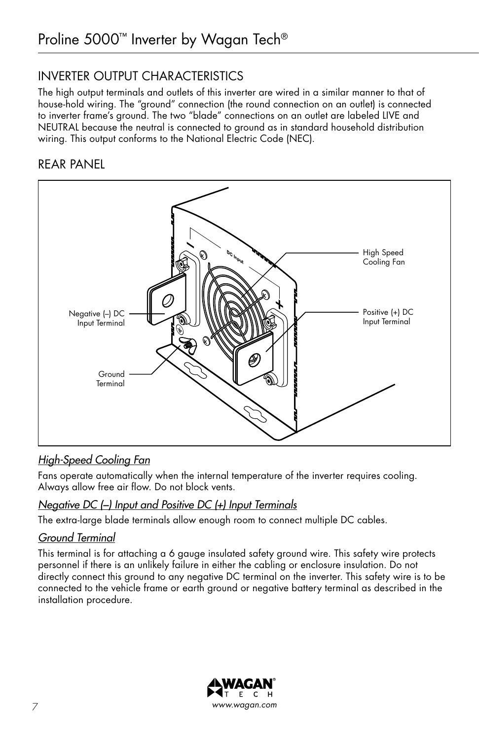# INVERTER OUTPUT CHARACTERISTICS

The high output terminals and outlets of this inverter are wired in a similar manner to that of house-hold wiring. The "ground" connection (the round connection on an outlet) is connected to inverter frame's ground. The two "blade" connections on an outlet are labeled LIVE and NEUTRAL because the neutral is connected to ground as in standard household distribution wiring. This output conforms to the National Electric Code (NEC).

# REAR PANEL



## *High-Speed Cooling Fan*

Fans operate automatically when the internal temperature of the inverter requires cooling. Always allow free air flow. Do not block vents.

## *Negative DC (−) Input and Positive DC (+) Input Terminals*

The extra-large blade terminals allow enough room to connect multiple DC cables.

## *Ground Terminal*

This terminal is for attaching a 6 gauge insulated safety ground wire. This safety wire protects personnel if there is an unlikely failure in either the cabling or enclosure insulation. Do not directly connect this ground to any negative DC terminal on the inverter. This safety wire is to be connected to the vehicle frame or earth ground or negative battery terminal as described in the installation procedure.

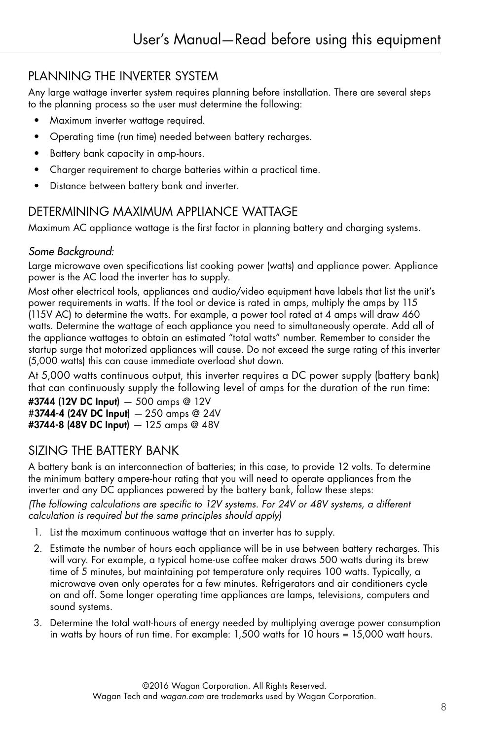# PLANNING THE INVERTER SYSTEM

Any large wattage inverter system requires planning before installation. There are several steps to the planning process so the user must determine the following:

- Maximum inverter wattage required.
- Operating time (run time) needed between battery recharges.
- Battery bank capacity in amp-hours.
- Charger requirement to charge batteries within a practical time.
- Distance between battery bank and inverter.

# DETERMINING MAXIMUM APPLIANCE WATTAGE

Maximum AC appliance wattage is the first factor in planning battery and charging systems.

## *Some Background:*

Large microwave oven specifications list cooking power (watts) and appliance power. Appliance power is the AC load the inverter has to supply.

Most other electrical tools, appliances and audio/video equipment have labels that list the unit's power requirements in watts. If the tool or device is rated in amps, multiply the amps by 115 (115V AC) to determine the watts. For example, a power tool rated at 4 amps will draw 460 watts. Determine the wattage of each appliance you need to simultaneously operate. Add all of the appliance wattages to obtain an estimated "total watts" number. Remember to consider the startup surge that motorized appliances will cause. Do not exceed the surge rating of this inverter (5,000 watts) this can cause immediate overload shut down.

At 5,000 watts continuous output, this inverter requires a DC power supply (battery bank) that can continuously supply the following level of amps for the duration of the run time:

#3744 (12V DC Input) *—* 500 amps @ 12V #3744-4 (24V DC Input) *—* 250 amps @ 24V #3744-8 (48V DC Input) *—* 125 amps @ 48V

# SIZING THE BATTERY BANK

A battery bank is an interconnection of batteries; in this case, to provide 12 volts. To determine the minimum battery ampere-hour rating that you will need to operate appliances from the inverter and any DC appliances powered by the battery bank, follow these steps: *(The following calculations are specific to 12V systems. For 24V or 48V systems, a different calculation is required but the same principles should apply)*

- 1. List the maximum continuous wattage that an inverter has to supply.
- 2. Estimate the number of hours each appliance will be in use between battery recharges. This will vary. For example, a typical home-use coffee maker draws 500 watts during its brew time of 5 minutes, but maintaining pot temperature only requires 100 watts. Typically, a microwave oven only operates for a few minutes. Refrigerators and air conditioners cycle on and off. Some longer operating time appliances are lamps, televisions, computers and sound systems.
- 3. Determine the total watt-hours of energy needed by multiplying average power consumption in watts by hours of run time. For example: 1,500 watts for 10 hours = 15,000 watt hours.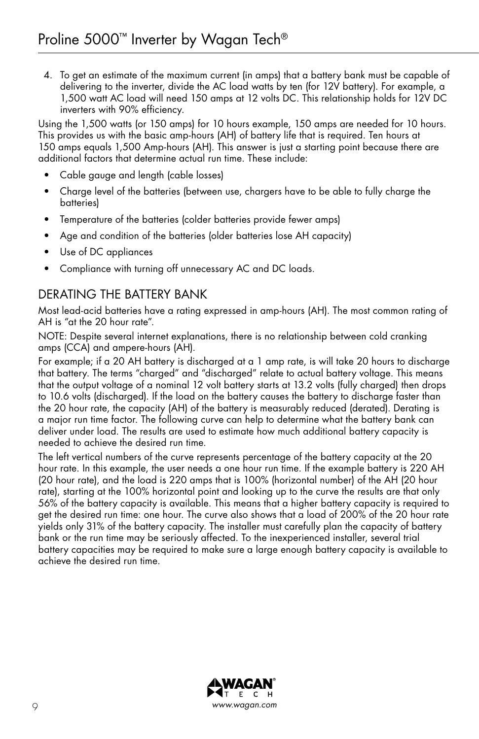4. To get an estimate of the maximum current (in amps) that a battery bank must be capable of delivering to the inverter, divide the AC load watts by ten (for 12V battery). For example, a 1,500 watt AC load will need 150 amps at 12 volts DC. This relationship holds for 12V DC inverters with 90% efficiency.

Using the 1,500 watts (or 150 amps) for 10 hours example, 150 amps are needed for 10 hours. This provides us with the basic amp-hours (AH) of battery life that is required. Ten hours at 150 amps equals 1,500 Amp-hours (AH). This answer is just a starting point because there are additional factors that determine actual run time. These include:

- Cable gauge and length (cable losses)
- Charge level of the batteries (between use, chargers have to be able to fully charge the batteries)
- Temperature of the batteries (colder batteries provide fewer amps)
- Age and condition of the batteries (older batteries lose AH capacity)
- Use of DC appliances
- Compliance with turning off unnecessary AC and DC loads.

## DERATING THE BATTERY BANK

Most lead-acid batteries have a rating expressed in amp-hours (AH). The most common rating of AH is "at the 20 hour rate".

NOTE: Despite several internet explanations, there is no relationship between cold cranking amps (CCA) and ampere-hours (AH).

For example; if a 20 AH battery is discharged at a 1 amp rate, is will take 20 hours to discharge that battery. The terms "charged" and "discharged" relate to actual battery voltage. This means that the output voltage of a nominal 12 volt battery starts at 13.2 volts (fully charged) then drops to 10.6 volts (discharged). If the load on the battery causes the battery to discharge faster than the 20 hour rate, the capacity (AH) of the battery is measurably reduced (derated). Derating is a major run time factor. The following curve can help to determine what the battery bank can deliver under load. The results are used to estimate how much additional battery capacity is needed to achieve the desired run time.

The left vertical numbers of the curve represents percentage of the battery capacity at the 20 hour rate. In this example, the user needs a one hour run time. If the example battery is 220 AH (20 hour rate), and the load is 220 amps that is 100% (horizontal number) of the AH (20 hour rate), starting at the 100% horizontal point and looking up to the curve the results are that only 56% of the battery capacity is available. This means that a higher battery capacity is required to get the desired run time: one hour. The curve also shows that a load of 200% of the 20 hour rate yields only 31% of the battery capacity. The installer must carefully plan the capacity of battery bank or the run time may be seriously affected. To the inexperienced installer, several trial battery capacities may be required to make sure a large enough battery capacity is available to achieve the desired run time.

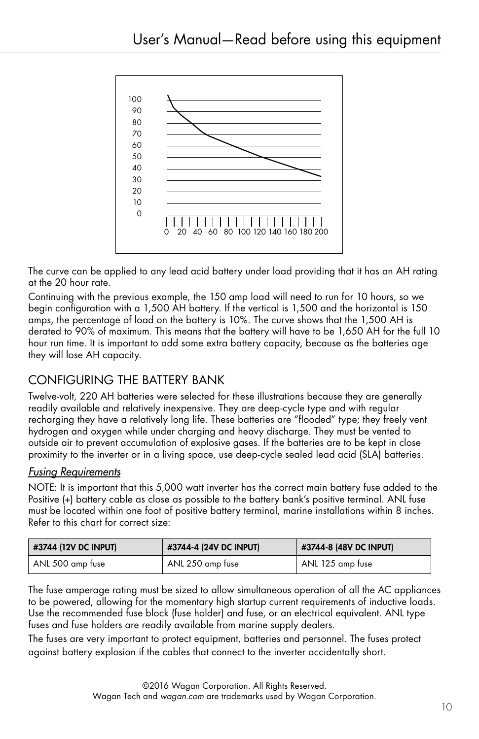

The curve can be applied to any lead acid battery under load providing that it has an AH rating at the 20 hour rate.

Continuing with the previous example, the 150 amp load will need to run for 10 hours, so we begin configuration with a 1,500 AH battery. If the vertical is 1,500 and the horizontal is 150 amps, the percentage of load on the battery is 10%. The curve shows that the 1,500 AH is derated to 90% of maximum. This means that the battery will have to be 1,650 AH for the full 10 hour run time. It is important to add some extra battery capacity, because as the batteries age they will lose AH capacity.

# CONFIGURING THE BATTERY BANK

Twelve-volt, 220 AH batteries were selected for these illustrations because they are generally readily available and relatively inexpensive. They are deep-cycle type and with regular recharging they have a relatively long life. These batteries are "flooded" type; they freely vent hydrogen and oxygen while under charging and heavy discharge. They must be vented to outside air to prevent accumulation of explosive gases. If the batteries are to be kept in close proximity to the inverter or in a living space, use deep-cycle sealed lead acid (SLA) batteries.

## *Fusing Requirements*

NOTE: It is important that this 5,000 watt inverter has the correct main battery fuse added to the Positive (+) battery cable as close as possible to the battery bank's positive terminal. ANL fuse must be located within one foot of positive battery terminal, marine installations within 8 inches. Refer to this chart for correct size:

| #3744 (12V DC INPUT) | #3744-4 (24V DC INPUT) | #3744-8 (48V DC INPUT) |  |  |  |
|----------------------|------------------------|------------------------|--|--|--|
| ANL 500 amp fuse     | ANL 250 amp fuse       | ANL 125 amp fuse       |  |  |  |

The fuse amperage rating must be sized to allow simultaneous operation of all the AC appliances to be powered, allowing for the momentary high startup current requirements of inductive loads. Use the recommended fuse block (fuse holder) and fuse, or an electrical equivalent. ANL type fuses and fuse holders are readily available from marine supply dealers.

The fuses are very important to protect equipment, batteries and personnel. The fuses protect against battery explosion if the cables that connect to the inverter accidentally short.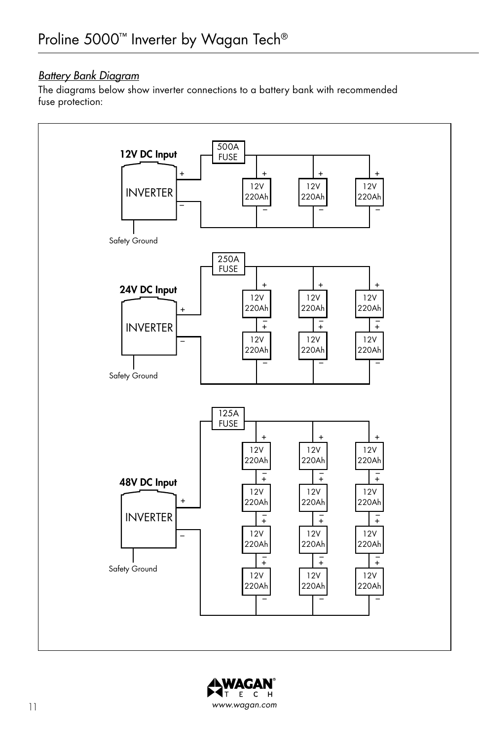## *Battery Bank Diagram*

The diagrams below show inverter connections to a battery bank with recommended fuse protection:



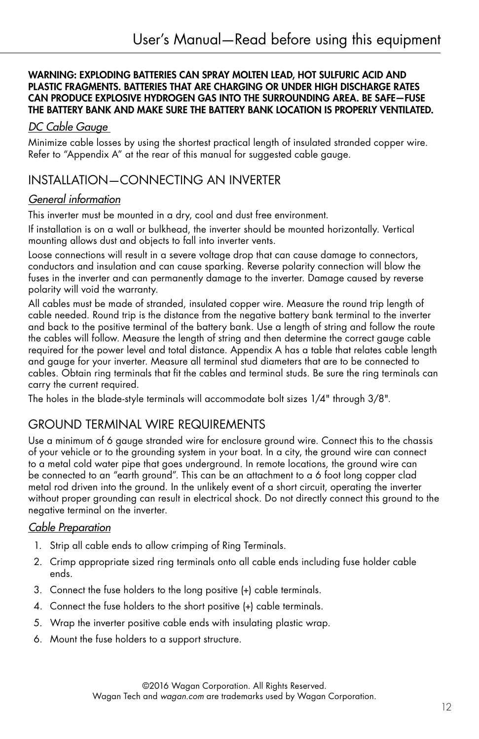#### WARNING: EXPLODING BATTERIES CAN SPRAY MOLTEN LEAD, HOT SULFURIC ACID AND PLASTIC FRAGMENTS. BATTERIES THAT ARE CHARGING OR UNDER HIGH DISCHARGE RATES CAN PRODUCE EXPLOSIVE HYDROGEN GAS INTO THE SURROUNDING AREA. BE SAFE—FUSE THE BATTERY BANK AND MAKE SURE THE BATTERY BANK LOCATION IS PROPERLY VENTILATED.

## *DC Cable Gauge*

Minimize cable losses by using the shortest practical length of insulated stranded copper wire. Refer to "Appendix A" at the rear of this manual for suggested cable gauge.

## INSTALLATION—CONNECTING AN INVERTER

## *General information*

This inverter must be mounted in a dry, cool and dust free environment.

If installation is on a wall or bulkhead, the inverter should be mounted horizontally. Vertical mounting allows dust and objects to fall into inverter vents.

Loose connections will result in a severe voltage drop that can cause damage to connectors, conductors and insulation and can cause sparking. Reverse polarity connection will blow the fuses in the inverter and can permanently damage to the inverter. Damage caused by reverse polarity will void the warranty.

All cables must be made of stranded, insulated copper wire. Measure the round trip length of cable needed. Round trip is the distance from the negative battery bank terminal to the inverter and back to the positive terminal of the battery bank. Use a length of string and follow the route the cables will follow. Measure the length of string and then determine the correct gauge cable required for the power level and total distance. Appendix A has a table that relates cable length and gauge for your inverter. Measure all terminal stud diameters that are to be connected to cables. Obtain ring terminals that fit the cables and terminal studs. Be sure the ring terminals can carry the current required.

The holes in the blade-style terminals will accommodate bolt sizes 1/4" through 3/8".

## GROUND TERMINAL WIRE REQUIREMENTS

Use a minimum of 6 gauge stranded wire for enclosure ground wire. Connect this to the chassis of your vehicle or to the grounding system in your boat. In a city, the ground wire can connect to a metal cold water pipe that goes underground. In remote locations, the ground wire can be connected to an "earth ground". This can be an attachment to a 6 foot long copper clad metal rod driven into the ground. In the unlikely event of a short circuit, operating the inverter without proper grounding can result in electrical shock. Do not directly connect this ground to the negative terminal on the inverter.

## *Cable Preparation*

- 1. Strip all cable ends to allow crimping of Ring Terminals.
- 2. Crimp appropriate sized ring terminals onto all cable ends including fuse holder cable ends.
- 3. Connect the fuse holders to the long positive (+) cable terminals.
- 4. Connect the fuse holders to the short positive (+) cable terminals.
- 5. Wrap the inverter positive cable ends with insulating plastic wrap.
- 6. Mount the fuse holders to a support structure.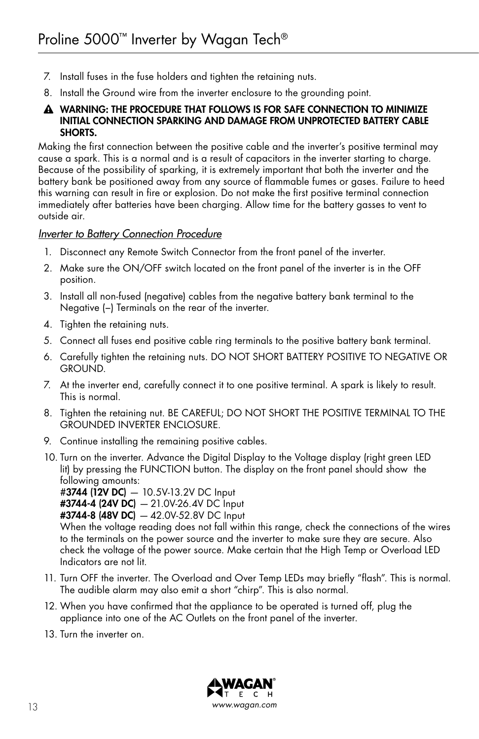- 7. Install fuses in the fuse holders and tighten the retaining nuts.
- 8. Install the Ground wire from the inverter enclosure to the grounding point.

#### A WARNING: THE PROCEDURE THAT FOLLOWS IS FOR SAFE CONNECTION TO MINIMIZE INITIAL CONNECTION SPARKING AND DAMAGE FROM UNPROTECTED BATTERY CABLE SHORTS.

Making the first connection between the positive cable and the inverter's positive terminal may cause a spark. This is a normal and is a result of capacitors in the inverter starting to charge. Because of the possibility of sparking, it is extremely important that both the inverter and the battery bank be positioned away from any source of flammable fumes or gases. Failure to heed this warning can result in fire or explosion. Do not make the first positive terminal connection immediately after batteries have been charging. Allow time for the battery gasses to vent to outside air.

#### *Inverter to Battery Connection Procedure*

- 1. Disconnect any Remote Switch Connector from the front panel of the inverter.
- 2. Make sure the ON/OFF switch located on the front panel of the inverter is in the OFF position.
- 3. Install all non-fused (negative) cables from the negative battery bank terminal to the Negative (−) Terminals on the rear of the inverter.
- 4. Tighten the retaining nuts.
- 5. Connect all fuses end positive cable ring terminals to the positive battery bank terminal.
- 6. Carefully tighten the retaining nuts. DO NOT SHORT BATTERY POSITIVE TO NEGATIVE OR GROUND.
- 7. At the inverter end, carefully connect it to one positive terminal. A spark is likely to result. This is normal.
- 8. Tighten the retaining nut. BE CAREFUL; DO NOT SHORT THE POSITIVE TERMINAL TO THE GROUNDED INVERTER ENCLOSURE.
- 9. Continue installing the remaining positive cables.
- 10. Turn on the inverter. Advance the Digital Display to the Voltage display (right green LED lit) by pressing the FUNCTION button. The display on the front panel should show the following amounts: #3744 (12V DC) *—* 10.5V-13.2V DC Input

#3744-4 (24V DC) *—* 21.0V-26.4V DC Input #3744-8 (48V DC) *—* 42.0V-52.8V DC Input

When the voltage reading does not fall within this range, check the connections of the wires to the terminals on the power source and the inverter to make sure they are secure. Also check the voltage of the power source. Make certain that the High Temp or Overload LED Indicators are not lit.

- 11. Turn OFF the inverter. The Overload and Over Temp LEDs may briefly "flash". This is normal. The audible alarm may also emit a short "chirp". This is also normal.
- 12. When you have confirmed that the appliance to be operated is turned off, plug the appliance into one of the AC Outlets on the front panel of the inverter.
- 13. Turn the inverter on.

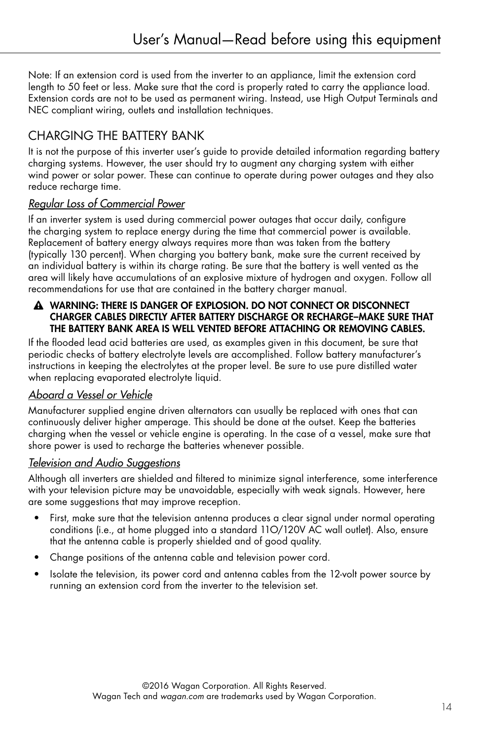Note: If an extension cord is used from the inverter to an appliance, limit the extension cord length to 50 feet or less. Make sure that the cord is properly rated to carry the appliance load. Extension cords are not to be used as permanent wiring. Instead, use High Output Terminals and NEC compliant wiring, outlets and installation techniques.

# CHARGING THE BATTERY BANK

It is not the purpose of this inverter user's guide to provide detailed information regarding battery charging systems. However, the user should try to augment any charging system with either wind power or solar power. These can continue to operate during power outages and they also reduce recharge time.

## *Regular Loss of Commercial Power*

If an inverter system is used during commercial power outages that occur daily, configure the charging system to replace energy during the time that commercial power is available. Replacement of battery energy always requires more than was taken from the battery (typically 130 percent). When charging you battery bank, make sure the current received by an individual battery is within its charge rating. Be sure that the battery is well vented as the area will likely have accumulations of an explosive mixture of hydrogen and oxygen. Follow all recommendations for use that are contained in the battery charger manual.

#### A WARNING: THERE IS DANGER OF EXPLOSION. DO NOT CONNECT OR DISCONNECT CHARGER CABLES DIRECTLY AFTER BATTERY DISCHARGE OR RECHARGE–MAKE SURE THAT THE BATTERY BANK AREA IS WELL VENTED BEFORE ATTACHING OR REMOVING CABLES.

If the flooded lead acid batteries are used, as examples given in this document, be sure that periodic checks of battery electrolyte levels are accomplished. Follow battery manufacturer's instructions in keeping the electrolytes at the proper level. Be sure to use pure distilled water when replacing evaporated electrolyte liquid.

## *Aboard a Vessel or Vehicle*

Manufacturer supplied engine driven alternators can usually be replaced with ones that can continuously deliver higher amperage. This should be done at the outset. Keep the batteries charging when the vessel or vehicle engine is operating. In the case of a vessel, make sure that shore power is used to recharge the batteries whenever possible.

## *Television and Audio Suggestions*

Although all inverters are shielded and filtered to minimize signal interference, some interference with your television picture may be unavoidable, especially with weak signals. However, here are some suggestions that may improve reception.

- First, make sure that the television antenna produces a clear signal under normal operating conditions (i.e., at home plugged into a standard 11O/120V AC wall outlet). Also, ensure that the antenna cable is properly shielded and of good quality.
- Change positions of the antenna cable and television power cord.
- Isolate the television, its power cord and antenna cables from the 12-volt power source by running an extension cord from the inverter to the television set.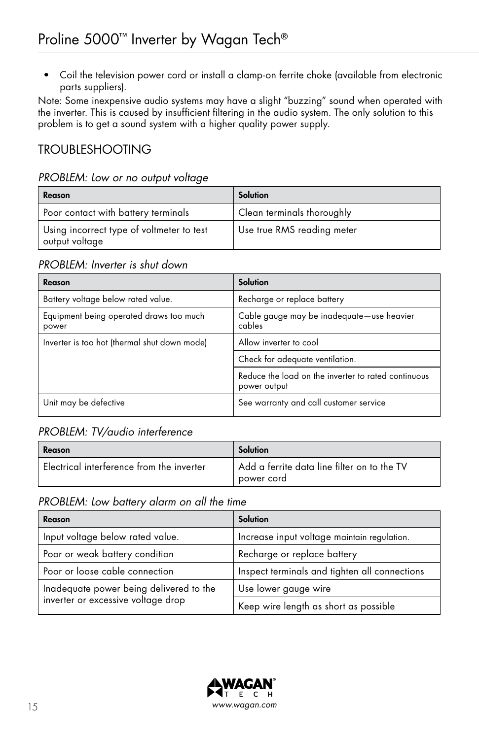• Coil the television power cord or install a clamp-on ferrite choke (available from electronic parts suppliers).

Note: Some inexpensive audio systems may have a slight "buzzing" sound when operated with the inverter. This is caused by insufficient filtering in the audio system. The only solution to this problem is to get a sound system with a higher quality power supply.

## TROUBLESHOOTING

#### *PROBLEM: Low or no output voltage*

| Reason                                                      | Solution                   |
|-------------------------------------------------------------|----------------------------|
| Poor contact with battery terminals                         | Clean terminals thoroughly |
| Using incorrect type of voltmeter to test<br>output voltage | Use true RMS reading meter |

#### *PROBLEM: Inverter is shut down*

| Reason                                           | <b>Solution</b>                                                     |
|--------------------------------------------------|---------------------------------------------------------------------|
| Battery voltage below rated value.               | Recharge or replace battery                                         |
| Equipment being operated draws too much<br>power | Cable gauge may be inadequate-use heavier<br>cables                 |
| Inverter is too hot (thermal shut down mode)     | Allow inverter to cool                                              |
|                                                  | Check for adequate ventilation.                                     |
|                                                  | Reduce the load on the inverter to rated continuous<br>power output |
| Unit may be defective                            | See warranty and call customer service                              |

## *PROBLEM: TV/audio interference*

| Reason                                    | Solution                                                  |
|-------------------------------------------|-----------------------------------------------------------|
| Electrical interference from the inverter | Add a ferrite data line filter on to the TV<br>power cord |

## *PROBLEM: Low battery alarm on all the time*

| Reason                                                                        | Solution                                      |  |  |
|-------------------------------------------------------------------------------|-----------------------------------------------|--|--|
| Input voltage below rated value.                                              | Increase input voltage maintain regulation.   |  |  |
| Poor or weak battery condition                                                | Recharge or replace battery                   |  |  |
| Poor or loose cable connection                                                | Inspect terminals and tighten all connections |  |  |
| Inadequate power being delivered to the<br>inverter or excessive voltage drop | Use lower gauge wire                          |  |  |
|                                                                               | Keep wire length as short as possible         |  |  |

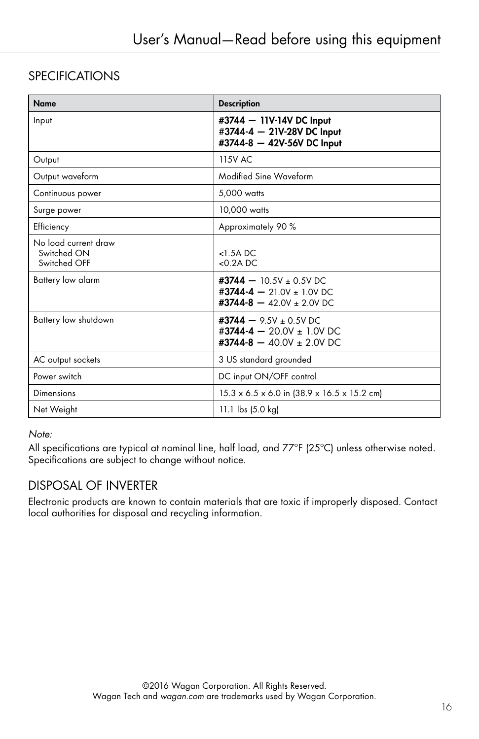# **SPECIFICATIONS**

| <b>Name</b>                                         | <b>Description</b>                                                                                                         |
|-----------------------------------------------------|----------------------------------------------------------------------------------------------------------------------------|
| Input                                               | #3744 - 11V-14V DC Input<br>#3744-4 - 21V-28V DC Input<br>#3744-8 - 42V-56V DC Input                                       |
| Output                                              | <b>115V AC</b>                                                                                                             |
| Output waveform                                     | Modified Sine Waveform                                                                                                     |
| Continuous power                                    | 5,000 watts                                                                                                                |
| Surge power                                         | 10,000 watts                                                                                                               |
| Efficiency                                          | Approximately 90 %                                                                                                         |
| No load current draw<br>Switched ON<br>Switched OFF | $<$ 1.5A DC<br>$< 0.2A$ DC                                                                                                 |
| Battery low alarm                                   | $\textbf{\#3744} - 10.5\text{V} \pm 0.5\text{V}$ DC<br>#3744-4 - 21.0V ± 1.0V DC<br>#3744-8 $-$ 42.0V $\pm$ 2.0V DC        |
| Battery low shutdown                                | $\textbf{\#3744} - 9.5\text{V} \pm 0.5\text{V}$ DC<br>#3744-4 - 20.0V ± 1.0V DC<br>$\texttt{\#3744-8} - 40.0V \pm 2.0V$ DC |
| AC output sockets                                   | 3 US standard grounded                                                                                                     |
| Power switch                                        | DC input ON/OFF control                                                                                                    |
| Dimensions                                          | $15.3 \times 6.5 \times 6.0$ in (38.9 x 16.5 x 15.2 cm)                                                                    |
| Net Weight                                          | 11.1 lbs (5.0 kg)                                                                                                          |

#### *Note:*

All specifications are typical at nominal line, half load, and 77°F (25°C) unless otherwise noted. Specifications are subject to change without notice.

## DISPOSAL OF INVERTER

Electronic products are known to contain materials that are toxic if improperly disposed. Contact local authorities for disposal and recycling information.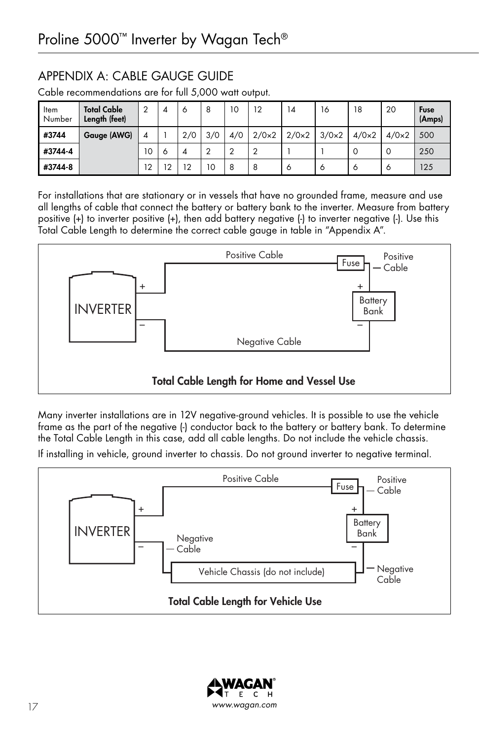# APPENDIX A: CABLE GAUGE GUIDE

| Item<br>Number | <b>Total Cable</b><br>Length (feet) | $\overline{2}$ | 4              | 6              | 8   | 10     | 12           | 14           | 16           | 18           | 20           | Fuse<br>(Amps) |
|----------------|-------------------------------------|----------------|----------------|----------------|-----|--------|--------------|--------------|--------------|--------------|--------------|----------------|
| #3744          | <b>Gauge (AWG)</b>                  | 4              |                | 2/0            | 3/0 | 4/0    | $2/0\times2$ | $2/0\times2$ | $3/0\times2$ | $4/0\times2$ | $4/0\times2$ | 500            |
| #3744-4        |                                     | 10             | $\circ$        | $\overline{A}$ | ◠   | $\sim$ | ာ            |              |              | $\Omega$     | $\Omega$     | 250            |
| #3744-8        |                                     | 12             | $\overline{2}$ | 12             | 10  | 8      | 8            | 6            | 6            | 6            | $\circ$      | 125            |

Cable recommendations are for full 5,000 watt output.

For installations that are stationary or in vessels that have no grounded frame, measure and use all lengths of cable that connect the battery or battery bank to the inverter. Measure from battery positive (+) to inverter positive (+), then add battery negative (-) to inverter negative (-). Use this Total Cable Length to determine the correct cable gauge in table in "Appendix A".



Many inverter installations are in 12V negative-ground vehicles. It is possible to use the vehicle frame as the part of the negative (-) conductor back to the battery or battery bank. To determine the Total Cable Length in this case, add all cable lengths. Do not include the vehicle chassis.

If installing in vehicle, ground inverter to chassis. Do not ground inverter to negative terminal.



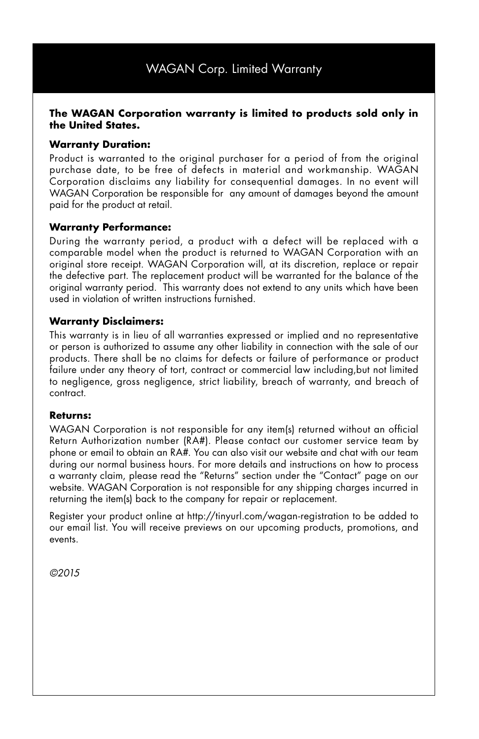#### **The WAGAN Corporation warranty is limited to products sold only in the United States.**

#### **Warranty Duration:**

Product is warranted to the original purchaser for a period of from the original purchase date, to be free of defects in material and workmanship. WAGAN Corporation disclaims any liability for consequential damages. In no event will WAGAN Corporation be responsible for any amount of damages beyond the amount paid for the product at retail.

#### **Warranty Performance:**

During the warranty period, a product with a defect will be replaced with a comparable model when the product is returned to WAGAN Corporation with an original store receipt. WAGAN Corporation will, at its discretion, replace or repair the defective part. The replacement product will be warranted for the balance of the original warranty period. This warranty does not extend to any units which have been used in violation of written instructions furnished.

#### **Warranty Disclaimers:**

This warranty is in lieu of all warranties expressed or implied and no representative or person is authorized to assume any other liability in connection with the sale of our products. There shall be no claims for defects or failure of performance or product failure under any theory of tort, contract or commercial law including, but not limited to negligence, gross negligence, strict liability, breach of warranty, and breach of contract.

#### **Returns:**

WAGAN Corporation is not responsible for any item(s) returned without an official Return Authorization number (RA#). Please contact our customer service team by phone or email to obtain an RA#. You can also visit our website and chat with our team during our normal business hours. For more details and instructions on how to process a warranty claim, please read the "Returns" section under the "Contact" page on our website. WAGAN Corporation is not responsible for any shipping charges incurred in returning the item(s) back to the company for repair or replacement.

Register your product online at http://tinyurl.com/wagan-registration to be added to our email list. You will receive previews on our upcoming products, promotions, and events.

*©2015*